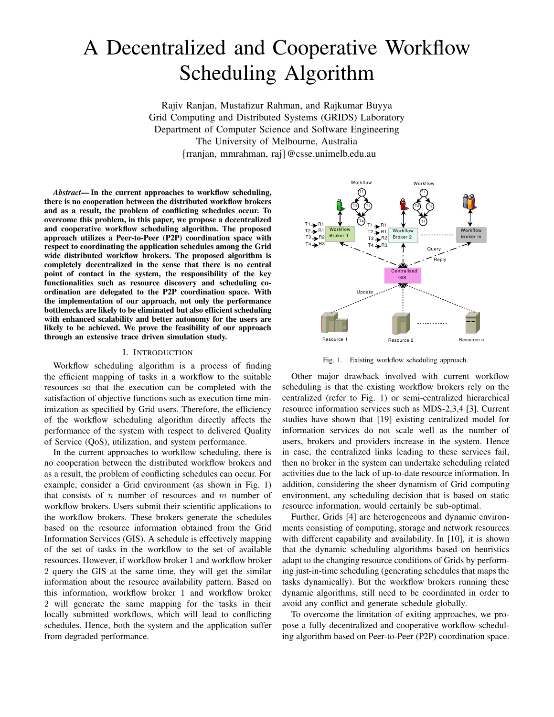# A Decentralized and Cooperative Workflow Scheduling Algorithm

Rajiv Ranjan, Mustafizur Rahman, and Rajkumar Buyya Grid Computing and Distributed Systems (GRIDS) Laboratory Department of Computer Science and Software Engineering The University of Melbourne, Australia {rranjan, mmrahman, raj}@csse.unimelb.edu.au

*Abstract***— In the current approaches to workflow scheduling, there is no cooperation between the distributed workflow brokers and as a result, the problem of conflicting schedules occur. To overcome this problem, in this paper, we propose a decentralized and cooperative workflow scheduling algorithm. The proposed approach utilizes a Peer-to-Peer (P2P) coordination space with respect to coordinating the application schedules among the Grid wide distributed workflow brokers. The proposed algorithm is completely decentralized in the sense that there is no central point of contact in the system, the responsibility of the key functionalities such as resource discovery and scheduling coordination are delegated to the P2P coordination space. With the implementation of our approach, not only the performance bottlenecks are likely to be eliminated but also efficient scheduling with enhanced scalability and better autonomy for the users are likely to be achieved. We prove the feasibility of our approach through an extensive trace driven simulation study.**

# I. INTRODUCTION

Workflow scheduling algorithm is a process of finding the efficient mapping of tasks in a workflow to the suitable resources so that the execution can be completed with the satisfaction of objective functions such as execution time minimization as specified by Grid users. Therefore, the efficiency of the workflow scheduling algorithm directly affects the performance of the system with respect to delivered Quality of Service (QoS), utilization, and system performance.

In the current approaches to workflow scheduling, there is no cooperation between the distributed workflow brokers and as a result, the problem of conflicting schedules can occur. For example, consider a Grid environment (as shown in Fig. 1) that consists of  $n$  number of resources and  $m$  number of workflow brokers. Users submit their scientific applications to the workflow brokers. These brokers generate the schedules based on the resource information obtained from the Grid Information Services (GIS). A schedule is effectively mapping of the set of tasks in the workflow to the set of available resources. However, if workflow broker 1 and workflow broker 2 query the GIS at the same time, they will get the similar information about the resource availability pattern. Based on this information, workflow broker 1 and workflow broker 2 will generate the same mapping for the tasks in their locally submitted workflows, which will lead to conflicting schedules. Hence, both the system and the application suffer from degraded performance.



Fig. 1. Existing workflow scheduling approach.

Other major drawback involved with current workflow scheduling is that the existing workflow brokers rely on the centralized (refer to Fig. 1) or semi-centralized hierarchical resource information services such as MDS-2,3,4 [3]. Current studies have shown that [19] existing centralized model for information services do not scale well as the number of users, brokers and providers increase in the system. Hence in case, the centralized links leading to these services fail, then no broker in the system can undertake scheduling related activities due to the lack of up-to-date resource information. In addition, considering the sheer dynamism of Grid computing environment, any scheduling decision that is based on static resource information, would certainly be sub-optimal.

Further, Grids [4] are heterogeneous and dynamic environments consisting of computing, storage and network resources with different capability and availability. In [10], it is shown that the dynamic scheduling algorithms based on heuristics adapt to the changing resource conditions of Grids by performing just-in-time scheduling (generating schedules that maps the tasks dynamically). But the workflow brokers running these dynamic algorithms, still need to be coordinated in order to avoid any conflict and generate schedule globally.

To overcome the limitation of exiting approaches, we propose a fully decentralized and cooperative workflow scheduling algorithm based on Peer-to-Peer (P2P) coordination space.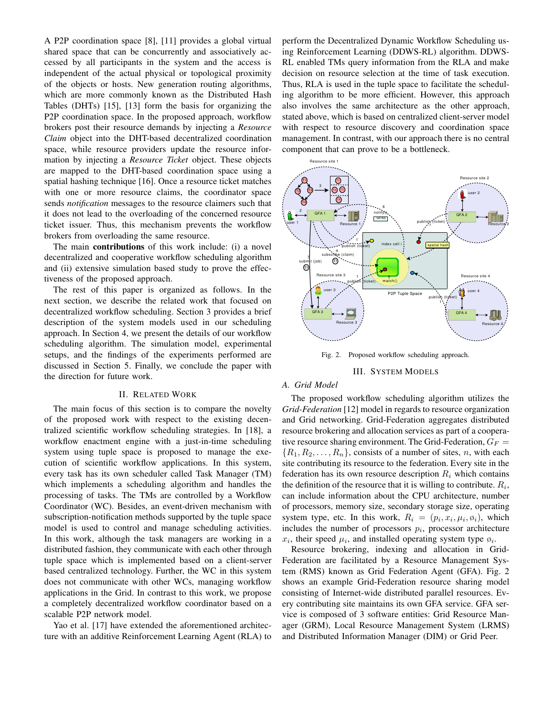A P2P coordination space [8], [11] provides a global virtual shared space that can be concurrently and associatively accessed by all participants in the system and the access is independent of the actual physical or topological proximity of the objects or hosts. New generation routing algorithms, which are more commonly known as the Distributed Hash Tables (DHTs) [15], [13] form the basis for organizing the P2P coordination space. In the proposed approach, workflow brokers post their resource demands by injecting a *Resource Claim* object into the DHT-based decentralized coordination space, while resource providers update the resource information by injecting a *Resource Ticket* object. These objects are mapped to the DHT-based coordination space using a spatial hashing technique [16]. Once a resource ticket matches with one or more resource claims, the coordinator space sends *notification* messages to the resource claimers such that it does not lead to the overloading of the concerned resource ticket issuer. Thus, this mechanism prevents the workflow brokers from overloading the same resource.

The main **contributions** of this work include: (i) a novel decentralized and cooperative workflow scheduling algorithm and (ii) extensive simulation based study to prove the effectiveness of the proposed approach.

The rest of this paper is organized as follows. In the next section, we describe the related work that focused on decentralized workflow scheduling. Section 3 provides a brief description of the system models used in our scheduling approach. In Section 4, we present the details of our workflow scheduling algorithm. The simulation model, experimental setups, and the findings of the experiments performed are discussed in Section 5. Finally, we conclude the paper with the direction for future work.

# II. RELATED WORK

The main focus of this section is to compare the novelty of the proposed work with respect to the existing decentralized scientific workflow scheduling strategies. In [18], a workflow enactment engine with a just-in-time scheduling system using tuple space is proposed to manage the execution of scientific workflow applications. In this system, every task has its own scheduler called Task Manager (TM) which implements a scheduling algorithm and handles the processing of tasks. The TMs are controlled by a Workflow Coordinator (WC). Besides, an event-driven mechanism with subscription-notification methods supported by the tuple space model is used to control and manage scheduling activities. In this work, although the task managers are working in a distributed fashion, they communicate with each other through tuple space which is implemented based on a client-server based centralized technology. Further, the WC in this system does not communicate with other WCs, managing workflow applications in the Grid. In contrast to this work, we propose a completely decentralized workflow coordinator based on a scalable P2P network model.

Yao et al. [17] have extended the aforementioned architecture with an additive Reinforcement Learning Agent (RLA) to perform the Decentralized Dynamic Workflow Scheduling using Reinforcement Learning (DDWS-RL) algorithm. DDWS-RL enabled TMs query information from the RLA and make decision on resource selection at the time of task execution. Thus, RLA is used in the tuple space to facilitate the scheduling algorithm to be more efficient. However, this approach also involves the same architecture as the other approach, stated above, which is based on centralized client-server model with respect to resource discovery and coordination space management. In contrast, with our approach there is no central component that can prove to be a bottleneck.



Fig. 2. Proposed workflow scheduling approach.

#### III. SYSTEM MODELS

#### *A. Grid Model*

The proposed workflow scheduling algorithm utilizes the *Grid-Federation* [12] model in regards to resource organization and Grid networking. Grid-Federation aggregates distributed resource brokering and allocation services as part of a cooperative resource sharing environment. The Grid-Federation,  $G_F =$  $\{R_1, R_2, \ldots, R_n\}$ , consists of a number of sites, n, with each site contributing its resource to the federation. Every site in the federation has its own resource description  $R_i$  which contains the definition of the resource that it is willing to contribute.  $R_i$ , can include information about the CPU architecture, number of processors, memory size, secondary storage size, operating system type, etc. In this work,  $R_i = (p_i, x_i, \mu_i, \phi_i)$ , which includes the number of processors  $p_i$ , processor architecture  $x_i$ , their speed  $\mu_i$ , and installed operating system type  $\phi_i$ .

Resource brokering, indexing and allocation in Grid-Federation are facilitated by a Resource Management System (RMS) known as Grid Federation Agent (GFA). Fig. 2 shows an example Grid-Federation resource sharing model consisting of Internet-wide distributed parallel resources. Every contributing site maintains its own GFA service. GFA service is composed of 3 software entities: Grid Resource Manager (GRM), Local Resource Management System (LRMS) and Distributed Information Manager (DIM) or Grid Peer.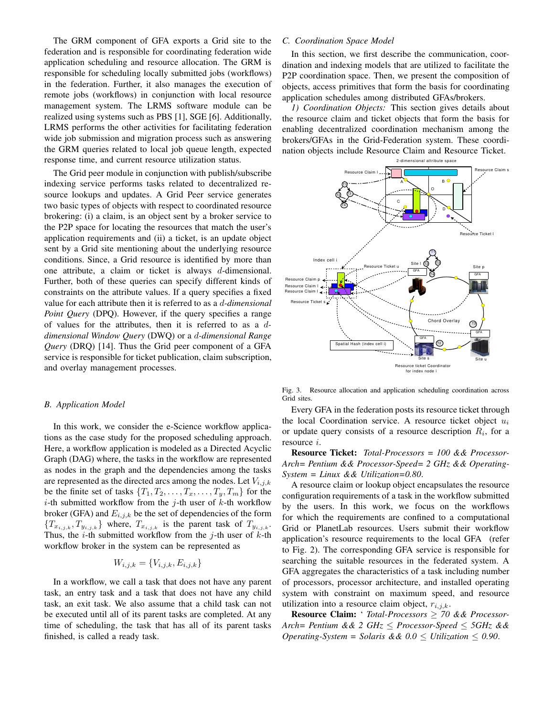The GRM component of GFA exports a Grid site to the federation and is responsible for coordinating federation wide application scheduling and resource allocation. The GRM is responsible for scheduling locally submitted jobs (workflows) in the federation. Further, it also manages the execution of remote jobs (workflows) in conjunction with local resource management system. The LRMS software module can be realized using systems such as PBS [1], SGE [6]. Additionally, LRMS performs the other activities for facilitating federation wide job submission and migration process such as answering the GRM queries related to local job queue length, expected response time, and current resource utilization status.

The Grid peer module in conjunction with publish/subscribe indexing service performs tasks related to decentralized resource lookups and updates. A Grid Peer service generates two basic types of objects with respect to coordinated resource brokering: (i) a claim, is an object sent by a broker service to the P2P space for locating the resources that match the user's application requirements and (ii) a ticket, is an update object sent by a Grid site mentioning about the underlying resource conditions. Since, a Grid resource is identified by more than one attribute, a claim or ticket is always d-dimensional. Further, both of these queries can specify different kinds of constraints on the attribute values. If a query specifies a fixed value for each attribute then it is referred to as a d*-dimensional Point Query* (DPQ). However, if the query specifies a range of values for the attributes, then it is referred to as a d*dimensional Window Query* (DWQ) or a d*-dimensional Range Query* (DRQ) [14]. Thus the Grid peer component of a GFA service is responsible for ticket publication, claim subscription, and overlay management processes.

#### *B. Application Model*

In this work, we consider the e-Science workflow applications as the case study for the proposed scheduling approach. Here, a workflow application is modeled as a Directed Acyclic Graph (DAG) where, the tasks in the workflow are represented as nodes in the graph and the dependencies among the tasks are represented as the directed arcs among the nodes. Let  $V_{i,j,k}$ be the finite set of tasks  $\{T_1, T_2, \ldots, T_x, \ldots, T_y, T_m\}$  for the *i*-th submitted workflow from the  $j$ -th user of  $k$ -th workflow broker (GFA) and  $E_{i,j,k}$  be the set of dependencies of the form  ${T_{x_{i,j,k}, T_{y_{i,j,k}}}$  where,  ${T_{x_{i,j,k}}}$  is the parent task of  ${T_{y_{i,j,k}}}$ . Thus, the *i*-th submitted workflow from the *j*-th user of *k*-th workflow broker in the system can be represented as

$$
W_{i,j,k} = \{V_{i,j,k}, E_{i,j,k}\}
$$

In a workflow, we call a task that does not have any parent task, an entry task and a task that does not have any child task, an exit task. We also assume that a child task can not be executed until all of its parent tasks are completed. At any time of scheduling, the task that has all of its parent tasks finished, is called a ready task.

#### *C. Coordination Space Model*

In this section, we first describe the communication, coordination and indexing models that are utilized to facilitate the P2P coordination space. Then, we present the composition of objects, access primitives that form the basis for coordinating application schedules among distributed GFAs/brokers.

*1) Coordination Objects:* This section gives details about the resource claim and ticket objects that form the basis for enabling decentralized coordination mechanism among the brokers/GFAs in the Grid-Federation system. These coordination objects include Resource Claim and Resource Ticket.



Fig. 3. Resource allocation and application scheduling coordination across Grid sites.

Every GFA in the federation posts its resource ticket through the local Coordination service. A resource ticket object  $u_i$ or update query consists of a resource description  $R_i$ , for a resource i.

**Resource Ticket:** *Total-Processors = 100 && Processor-Arch= Pentium && Processor-Speed= 2 GHz && Operating-System = Linux && Utilization=0.80*.

A resource claim or lookup object encapsulates the resource configuration requirements of a task in the workflow submitted by the users. In this work, we focus on the workflows for which the requirements are confined to a computational Grid or PlanetLab resources. Users submit their workflow application's resource requirements to the local GFA (refer to Fig. 2). The corresponding GFA service is responsible for searching the suitable resources in the federated system. A GFA aggregates the characteristics of a task including number of processors, processor architecture, and installed operating system with constraint on maximum speed, and resource utilization into a resource claim object,  $r_{i,j,k}$ .

**Resource Claim:** ' *Total-Processors* ≥ *70 && Processor-Arch= Pentium && 2 GHz* ≤ *Processor-Speed* ≤ *5GHz && Operating-System = Solaris & & 0.0*  $\leq$  *Utilization*  $\leq$  0.90.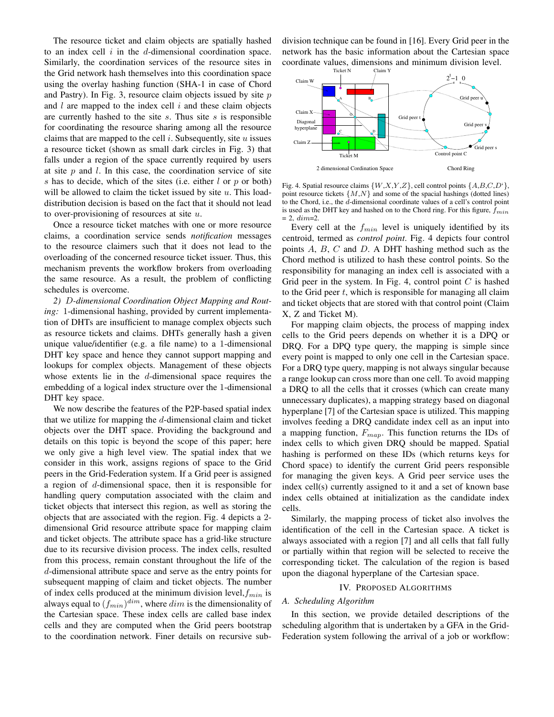The resource ticket and claim objects are spatially hashed to an index cell  $i$  in the  $d$ -dimensional coordination space. Similarly, the coordination services of the resource sites in the Grid network hash themselves into this coordination space using the overlay hashing function (SHA-1 in case of Chord and Pastry). In Fig. 3, resource claim objects issued by site  $p$ and  $l$  are mapped to the index cell  $i$  and these claim objects are currently hashed to the site  $s$ . Thus site  $s$  is responsible for coordinating the resource sharing among all the resource claims that are mapped to the cell  $i$ . Subsequently, site  $u$  issues a resource ticket (shown as small dark circles in Fig. 3) that falls under a region of the space currently required by users at site  $p$  and  $l$ . In this case, the coordination service of site s has to decide, which of the sites (i.e. either  $l$  or  $p$  or both) will be allowed to claim the ticket issued by site  $u$ . This loaddistribution decision is based on the fact that it should not lead to over-provisioning of resources at site  $u$ .

Once a resource ticket matches with one or more resource claims, a coordination service sends *notification* messages to the resource claimers such that it does not lead to the overloading of the concerned resource ticket issuer. Thus, this mechanism prevents the workflow brokers from overloading the same resource. As a result, the problem of conflicting schedules is overcome.

*2)* D*-dimensional Coordination Object Mapping and Routing:* 1-dimensional hashing, provided by current implementation of DHTs are insufficient to manage complex objects such as resource tickets and claims. DHTs generally hash a given unique value/identifier (e.g. a file name) to a 1-dimensional DHT key space and hence they cannot support mapping and lookups for complex objects. Management of these objects whose extents lie in the d-dimensional space requires the embedding of a logical index structure over the 1-dimensional DHT key space.

We now describe the features of the P2P-based spatial index that we utilize for mapping the  $d$ -dimensional claim and ticket objects over the DHT space. Providing the background and details on this topic is beyond the scope of this paper; here we only give a high level view. The spatial index that we consider in this work, assigns regions of space to the Grid peers in the Grid-Federation system. If a Grid peer is assigned a region of d-dimensional space, then it is responsible for handling query computation associated with the claim and ticket objects that intersect this region, as well as storing the objects that are associated with the region. Fig. 4 depicts a 2 dimensional Grid resource attribute space for mapping claim and ticket objects. The attribute space has a grid-like structure due to its recursive division process. The index cells, resulted from this process, remain constant throughout the life of the d-dimensional attribute space and serve as the entry points for subsequent mapping of claim and ticket objects. The number of index cells produced at the minimum division level,  $f_{min}$  is always equal to  $(f_{min})^{dim}$ , where  $dim$  is the dimensionality of the Cartesian space. These index cells are called base index cells and they are computed when the Grid peers bootstrap to the coordination network. Finer details on recursive subdivision technique can be found in [16]. Every Grid peer in the network has the basic information about the Cartesian space coordinate values, dimensions and minimum division level.



Fig. 4. Spatial resource claims  $\{W, X, Y, Z\}$ , cell control points  $\{A, B, C, D'\}$ , point resource tickets  $\{M,N\}$  and some of the spacial hashings (dotted lines) to the Chord, i.e., the d-dimensional coordinate values of a cell's control point is used as the DHT key and hashed on to the Chord ring. For this figure,  $f_{min}$  $= 2, dim=2.$ 

Every cell at the  $f_{min}$  level is uniquely identified by its centroid, termed as *control point*. Fig. 4 depicts four control points A, B, C and D. A DHT hashing method such as the Chord method is utilized to hash these control points. So the responsibility for managing an index cell is associated with a Grid peer in the system. In Fig. 4, control point  $C$  is hashed to the Grid peer  $t$ , which is responsible for managing all claim and ticket objects that are stored with that control point (Claim X, Z and Ticket M).

For mapping claim objects, the process of mapping index cells to the Grid peers depends on whether it is a DPQ or DRQ. For a DPQ type query, the mapping is simple since every point is mapped to only one cell in the Cartesian space. For a DRQ type query, mapping is not always singular because a range lookup can cross more than one cell. To avoid mapping a DRQ to all the cells that it crosses (which can create many unnecessary duplicates), a mapping strategy based on diagonal hyperplane [7] of the Cartesian space is utilized. This mapping involves feeding a DRQ candidate index cell as an input into a mapping function,  $F_{map}$ . This function returns the IDs of index cells to which given DRQ should be mapped. Spatial hashing is performed on these IDs (which returns keys for Chord space) to identify the current Grid peers responsible for managing the given keys. A Grid peer service uses the index cell(s) currently assigned to it and a set of known base index cells obtained at initialization as the candidate index cells.

Similarly, the mapping process of ticket also involves the identification of the cell in the Cartesian space. A ticket is always associated with a region [7] and all cells that fall fully or partially within that region will be selected to receive the corresponding ticket. The calculation of the region is based upon the diagonal hyperplane of the Cartesian space.

# IV. PROPOSED ALGORITHMS

#### *A. Scheduling Algorithm*

In this section, we provide detailed descriptions of the scheduling algorithm that is undertaken by a GFA in the Grid-Federation system following the arrival of a job or workflow: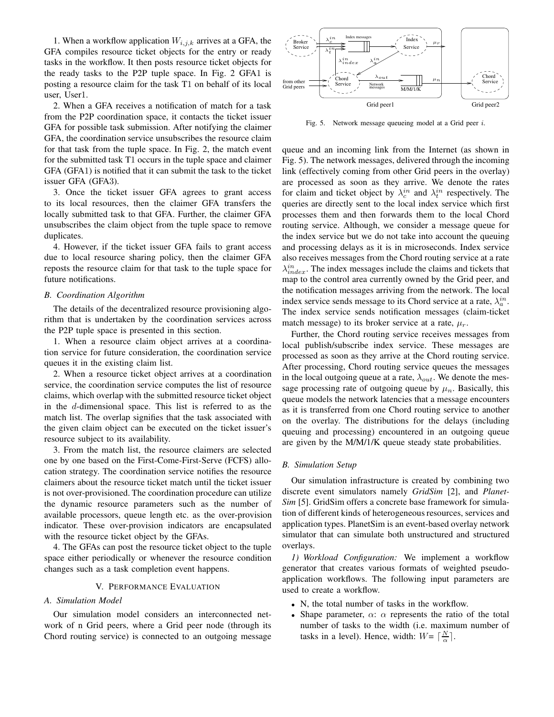1. When a workflow application  $W_{i,j,k}$  arrives at a GFA, the GFA compiles resource ticket objects for the entry or ready tasks in the workflow. It then posts resource ticket objects for the ready tasks to the P2P tuple space. In Fig. 2 GFA1 is posting a resource claim for the task T1 on behalf of its local user, User1.

2. When a GFA receives a notification of match for a task from the P2P coordination space, it contacts the ticket issuer GFA for possible task submission. After notifying the claimer GFA, the coordination service unsubscribes the resource claim for that task from the tuple space. In Fig. 2, the match event for the submitted task T1 occurs in the tuple space and claimer GFA (GFA1) is notified that it can submit the task to the ticket issuer GFA (GFA3).

3. Once the ticket issuer GFA agrees to grant access to its local resources, then the claimer GFA transfers the locally submitted task to that GFA. Further, the claimer GFA unsubscribes the claim object from the tuple space to remove duplicates.

4. However, if the ticket issuer GFA fails to grant access due to local resource sharing policy, then the claimer GFA reposts the resource claim for that task to the tuple space for future notifications.

#### *B. Coordination Algorithm*

The details of the decentralized resource provisioning algorithm that is undertaken by the coordination services across the P2P tuple space is presented in this section.

1. When a resource claim object arrives at a coordination service for future consideration, the coordination service queues it in the existing claim list.

2. When a resource ticket object arrives at a coordination service, the coordination service computes the list of resource claims, which overlap with the submitted resource ticket object in the d-dimensional space. This list is referred to as the match list. The overlap signifies that the task associated with the given claim object can be executed on the ticket issuer's resource subject to its availability.

3. From the match list, the resource claimers are selected one by one based on the First-Come-First-Serve (FCFS) allocation strategy. The coordination service notifies the resource claimers about the resource ticket match until the ticket issuer is not over-provisioned. The coordination procedure can utilize the dynamic resource parameters such as the number of available processors, queue length etc. as the over-provision indicator. These over-provision indicators are encapsulated with the resource ticket object by the GFAs.

4. The GFAs can post the resource ticket object to the tuple space either periodically or whenever the resource condition changes such as a task completion event happens.

# V. PERFORMANCE EVALUATION

#### *A. Simulation Model*

Our simulation model considers an interconnected network of n Grid peers, where a Grid peer node (through its Chord routing service) is connected to an outgoing message



Fig. 5. Network message queueing model at a Grid peer i.

queue and an incoming link from the Internet (as shown in Fig. 5). The network messages, delivered through the incoming link (effectively coming from other Grid peers in the overlay) are processed as soon as they arrive. We denote the rates for claim and ticket object by  $\lambda_c^{in}$  and  $\lambda_t^{in}$  respectively. The queries are directly sent to the local index service which first processes them and then forwards them to the local Chord routing service. Although, we consider a message queue for the index service but we do not take into account the queuing and processing delays as it is in microseconds. Index service also receives messages from the Chord routing service at a rate  $\lambda_{index}^{in}$ . The index messages include the claims and tickets that map to the control area currently owned by the Grid peer, and the notification messages arriving from the network. The local index service sends message to its Chord service at a rate,  $\lambda_a^{in}$ . The index service sends notification messages (claim-ticket match message) to its broker service at a rate,  $\mu_r$ .

Further, the Chord routing service receives messages from local publish/subscribe index service. These messages are processed as soon as they arrive at the Chord routing service. After processing, Chord routing service queues the messages in the local outgoing queue at a rate,  $\lambda_{out}$ . We denote the message processing rate of outgoing queue by  $\mu_n$ . Basically, this queue models the network latencies that a message encounters as it is transferred from one Chord routing service to another on the overlay. The distributions for the delays (including queuing and processing) encountered in an outgoing queue are given by the M/M/1/K queue steady state probabilities.

#### *B. Simulation Setup*

Our simulation infrastructure is created by combining two discrete event simulators namely *GridSim* [2], and *Planet-Sim* [5]. GridSim offers a concrete base framework for simulation of different kinds of heterogeneous resources, services and application types. PlanetSim is an event-based overlay network simulator that can simulate both unstructured and structured overlays.

*1) Workload Configuration:* We implement a workflow generator that creates various formats of weighted pseudoapplication workflows. The following input parameters are used to create a workflow.

- N, the total number of tasks in the workflow.
- Shape parameter,  $\alpha$ :  $\alpha$  represents the ratio of the total number of tasks to the width (i.e. maximum number of tasks in a level). Hence, width:  $W = \lceil \frac{N}{\alpha} \rceil$ .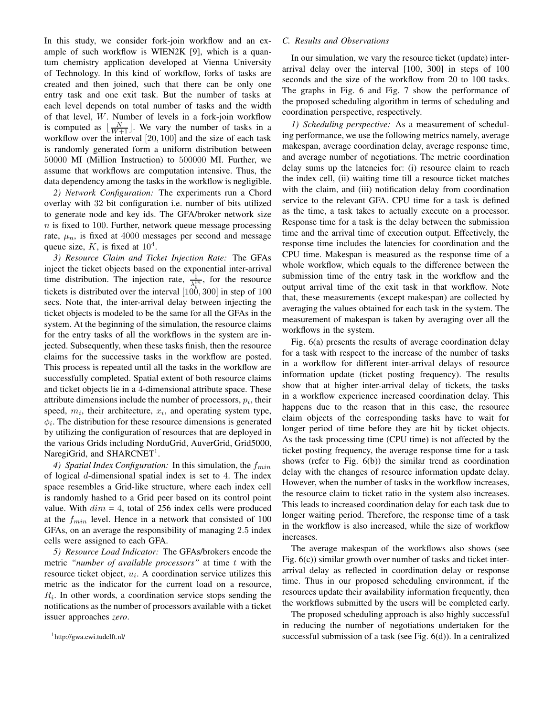In this study, we consider fork-join workflow and an example of such workflow is WIEN2K [9], which is a quantum chemistry application developed at Vienna University of Technology. In this kind of workflow, forks of tasks are created and then joined, such that there can be only one entry task and one exit task. But the number of tasks at each level depends on total number of tasks and the width of that level, W. Number of levels in a fork-join workflow is computed as  $\lfloor \frac{N}{W+1} \rfloor$ . We vary the number of tasks in a workflow over the interval [20, 100] and the size of each task is randomly generated form a uniform distribution between 50000 MI (Million Instruction) to 500000 MI. Further, we assume that workflows are computation intensive. Thus, the data dependency among the tasks in the workflow is negligible.

*2) Network Configuration:* The experiments run a Chord overlay with 32 bit configuration i.e. number of bits utilized to generate node and key ids. The GFA/broker network size  $n$  is fixed to 100. Further, network queue message processing rate,  $\mu_n$ , is fixed at 4000 messages per second and message queue size,  $K$ , is fixed at  $10<sup>4</sup>$ .

*3) Resource Claim and Ticket Injection Rate:* The GFAs inject the ticket objects based on the exponential inter-arrival time distribution. The injection rate,  $\frac{1}{\lambda_i^{in}}$ , for the resource tickets is distributed over the interval  $\left[100, 300\right]$  in step of 100 secs. Note that, the inter-arrival delay between injecting the ticket objects is modeled to be the same for all the GFAs in the system. At the beginning of the simulation, the resource claims for the entry tasks of all the workflows in the system are injected. Subsequently, when these tasks finish, then the resource claims for the successive tasks in the workflow are posted. This process is repeated until all the tasks in the workflow are successfully completed. Spatial extent of both resource claims and ticket objects lie in a 4-dimensional attribute space. These attribute dimensions include the number of processors,  $p_i$ , their speed,  $m_i$ , their architecture,  $x_i$ , and operating system type,  $\phi_i$ . The distribution for these resource dimensions is generated by utilizing the configuration of resources that are deployed in the various Grids including NorduGrid, AuverGrid, Grid5000, NaregiGrid, and  $SHARCHET<sup>1</sup>$ .

*4) Spatial Index Configuration:* In this simulation, the  $f_{min}$ of logical d-dimensional spatial index is set to 4. The index space resembles a Grid-like structure, where each index cell is randomly hashed to a Grid peer based on its control point value. With  $dim = 4$ , total of 256 index cells were produced at the  $f_{min}$  level. Hence in a network that consisted of 100 GFAs, on an average the responsibility of managing 2.5 index cells were assigned to each GFA.

*5) Resource Load Indicator:* The GFAs/brokers encode the metric "number of available processors" at time t with the resource ticket object,  $u_i$ . A coordination service utilizes this metric as the indicator for the current load on a resource,  $R_i$ . In other words, a coordination service stops sending the notifications as the number of processors available with a ticket issuer approaches *zero*.

<sup>1</sup>http://gwa.ewi.tudelft.nl/

### *C. Results and Observations*

In our simulation, we vary the resource ticket (update) interarrival delay over the interval [100, 300] in steps of 100 seconds and the size of the workflow from 20 to 100 tasks. The graphs in Fig. 6 and Fig. 7 show the performance of the proposed scheduling algorithm in terms of scheduling and coordination perspective, respectively.

*1) Scheduling perspective:* As a measurement of scheduling performance, we use the following metrics namely, average makespan, average coordination delay, average response time, and average number of negotiations. The metric coordination delay sums up the latencies for: (i) resource claim to reach the index cell, (ii) waiting time till a resource ticket matches with the claim, and (iii) notification delay from coordination service to the relevant GFA. CPU time for a task is defined as the time, a task takes to actually execute on a processor. Response time for a task is the delay between the submission time and the arrival time of execution output. Effectively, the response time includes the latencies for coordination and the CPU time. Makespan is measured as the response time of a whole workflow, which equals to the difference between the submission time of the entry task in the workflow and the output arrival time of the exit task in that workflow. Note that, these measurements (except makespan) are collected by averaging the values obtained for each task in the system. The measurement of makespan is taken by averaging over all the workflows in the system.

Fig. 6(a) presents the results of average coordination delay for a task with respect to the increase of the number of tasks in a workflow for different inter-arrival delays of resource information update (ticket posting frequency). The results show that at higher inter-arrival delay of tickets, the tasks in a workflow experience increased coordination delay. This happens due to the reason that in this case, the resource claim objects of the corresponding tasks have to wait for longer period of time before they are hit by ticket objects. As the task processing time (CPU time) is not affected by the ticket posting frequency, the average response time for a task shows (refer to Fig. 6(b)) the similar trend as coordination delay with the changes of resource information update delay. However, when the number of tasks in the workflow increases, the resource claim to ticket ratio in the system also increases. This leads to increased coordination delay for each task due to longer waiting period. Therefore, the response time of a task in the workflow is also increased, while the size of workflow increases.

The average makespan of the workflows also shows (see Fig. 6(c)) similar growth over number of tasks and ticket interarrival delay as reflected in coordination delay or response time. Thus in our proposed scheduling environment, if the resources update their availability information frequently, then the workflows submitted by the users will be completed early.

The proposed scheduling approach is also highly successful in reducing the number of negotiations undertaken for the successful submission of a task (see Fig. 6(d)). In a centralized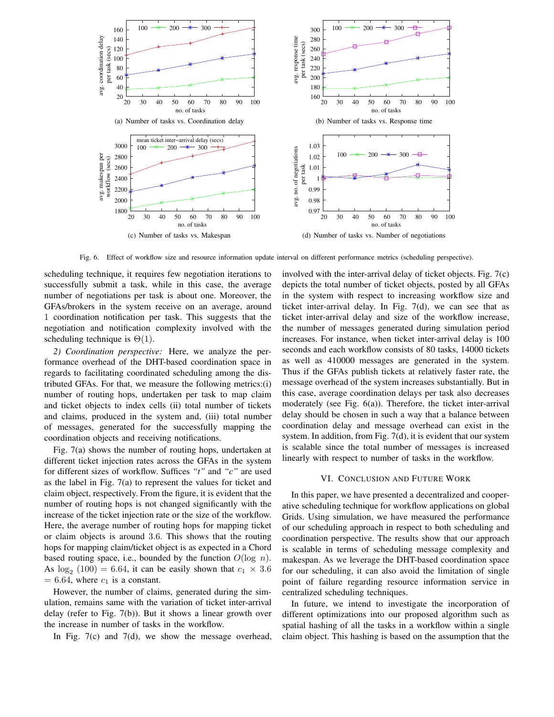

Fig. 6. Effect of workflow size and resource information update interval on different performance metrics (scheduling perspective).

scheduling technique, it requires few negotiation iterations to successfully submit a task, while in this case, the average number of negotiations per task is about one. Moreover, the GFAs/brokers in the system receive on an average, around 1 coordination notification per task. This suggests that the negotiation and notification complexity involved with the scheduling technique is  $\Theta(1)$ .

*2) Coordination perspective:* Here, we analyze the performance overhead of the DHT-based coordination space in regards to facilitating coordinated scheduling among the distributed GFAs. For that, we measure the following metrics:(i) number of routing hops, undertaken per task to map claim and ticket objects to index cells (ii) total number of tickets and claims, produced in the system and, (iii) total number of messages, generated for the successfully mapping the coordination objects and receiving notifications.

Fig. 7(a) shows the number of routing hops, undertaken at different ticket injection rates across the GFAs in the system for different sizes of workflow. Suffices *"t"* and *"c"* are used as the label in Fig. 7(a) to represent the values for ticket and claim object, respectively. From the figure, it is evident that the number of routing hops is not changed significantly with the increase of the ticket injection rate or the size of the workflow. Here, the average number of routing hops for mapping ticket or claim objects is around 3.6. This shows that the routing hops for mapping claim/ticket object is as expected in a Chord based routing space, i.e., bounded by the function  $O(\log n)$ . As  $\log_2(100) = 6.64$ , it can be easily shown that  $c_1 \times 3.6$  $= 6.64$ , where  $c_1$  is a constant.

However, the number of claims, generated during the simulation, remains same with the variation of ticket inter-arrival delay (refer to Fig. 7(b)). But it shows a linear growth over the increase in number of tasks in the workflow.

In Fig.  $7(c)$  and  $7(d)$ , we show the message overhead,

involved with the inter-arrival delay of ticket objects. Fig. 7(c) depicts the total number of ticket objects, posted by all GFAs in the system with respect to increasing workflow size and ticket inter-arrival delay. In Fig. 7(d), we can see that as ticket inter-arrival delay and size of the workflow increase, the number of messages generated during simulation period increases. For instance, when ticket inter-arrival delay is 100 seconds and each workflow consists of 80 tasks, 14000 tickets as well as 410000 messages are generated in the system. Thus if the GFAs publish tickets at relatively faster rate, the message overhead of the system increases substantially. But in this case, average coordination delays per task also decreases moderately (see Fig. 6(a)). Therefore, the ticket inter-arrival delay should be chosen in such a way that a balance between coordination delay and message overhead can exist in the system. In addition, from Fig. 7(d), it is evident that our system is scalable since the total number of messages is increased linearly with respect to number of tasks in the workflow.

### VI. CONCLUSION AND FUTURE WORK

In this paper, we have presented a decentralized and cooperative scheduling technique for workflow applications on global Grids. Using simulation, we have measured the performance of our scheduling approach in respect to both scheduling and coordination perspective. The results show that our approach is scalable in terms of scheduling message complexity and makespan. As we leverage the DHT-based coordination space for our scheduling, it can also avoid the limitation of single point of failure regarding resource information service in centralized scheduling techniques.

In future, we intend to investigate the incorporation of different optimizations into our proposed algorithm such as spatial hashing of all the tasks in a workflow within a single claim object. This hashing is based on the assumption that the